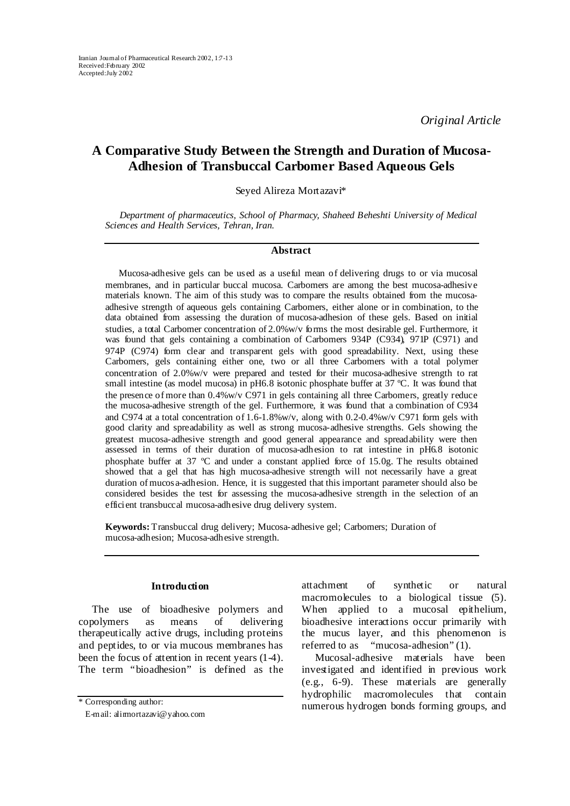*Original Article* 

# **A Comparative Study Between the Strength and Duration of Mucosa-Adhesion of Transbuccal Carbomer Based Aqueous Gels**

Seyed Alireza Mortazavi\*

*Department of pharmaceutics, School of Pharmacy, Shaheed Beheshti University of Medical Sciences and Health Services, Tehran, Iran.* 

## **Abstract**

Mucosa-adhesive gels can be used as a useful mean of delivering drugs to or via mucosal membranes, and in particular buccal mucosa. Carbomers are among the best mucosa-adhesive materials known. The aim of this study was to compare the results obtained from the mucosaadhesive strength of aqueous gels containing Carbomers, either alone or in combination, to the data obtained from assessing the duration of mucosa-adhesion of these gels. Based on initial studies, a total Carbomer concentration of 2.0%w/v forms the most desirable gel. Furthermore, it was found that gels containing a combination of Carbomers 934P (C934), 971P (C971) and 974P (C974) form clear and transparent gels with good spreadability. Next, using these Carbomers, gels containing either one, two or all three Carbomers with a total polymer concentration of 2.0%w/v were prepared and tested for their mucosa-adhesive strength to rat small intestine (as model mucosa) in pH6.8 isotonic phosphate buffer at 37 °C. It was found that the presence of more than 0.4%w/v C971 in gels containing all three Carbomers, greatly reduce the mucosa-adhesive strength of the gel. Furthermore, it was found that a combination of C934 and C974 at a total concentration of 1.6-1.8%w/v, along with  $0.2$ -0.4%w/v C971 form gels with good clarity and spreadability as well as strong mucosa-adhesive strengths. Gels showing the greatest mucosa-adhesive strength and good general appearance and spreadability were then assessed in terms of their duration of mucosa-adhesion to rat intestine in pH6.8 isotonic phosphate buffer at 37 ºC and under a constant applied force of 15.0g. The results obtained showed that a gel that has high mucosa-adhesive strength will not necessarily have a great duration of mucosa-adhesion. Hence, it is suggested that this important parameter should also be considered besides the test for assessing the mucosa-adhesive strength in the selection of an efficient transbuccal mucosa-adhesive drug delivery system.

**Keywords:** Transbuccal drug delivery; Mucosa-adhesive gel; Carbomers; Duration of mucosa-adhesion; Mucosa-adhesive strength.

### **Introduction**

The use of bioadhesive polymers and copolymers as means of delivering therapeutically active drugs, including proteins and peptides, to or via mucous membranes has been the focus of attention in recent years  $(1-4)$ . The term "bioadhesion" is defined as the

attachment of synthetic or natural macromolecules to a biological tissue (5). When applied to a mucosal epithelium, bioadhesive interactions occur primarily with the mucus layer, and this phenomenon is referred to as "mucosa-adhesion" (1).

Mucosal-adhesive materials have been investigated and identified in previous work (e.g., 6-9). These materials are generally hydrophilic macromolecules that contain numerous hydrogen bonds forming groups, and \* Corresponding author:

E-mail: alirmortazavi@yahoo.com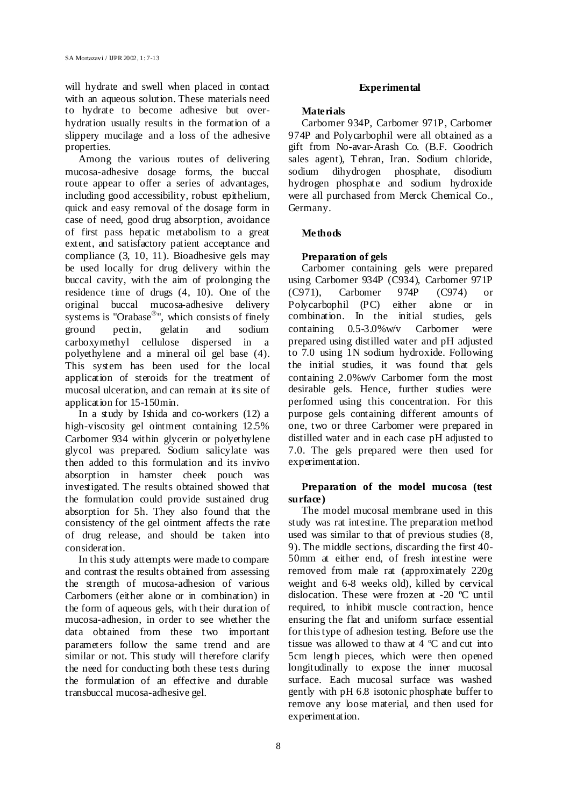will hydrate and swell when placed in contact with an aqueous solution. These materials need to hydrate to become adhesive but overhydration usually results in the formation of a slippery mucilage and a loss of the adhesive properties.

Among the various routes of delivering mucosa-adhesive dosage forms, the buccal route appear to offer a series of advantages, including good accessibility, robust epithelium, quick and easy removal of the dosage form in case of need, good drug absorption, avoidance of first pass hepatic metabolism to a great extent, and satisfactory patient acceptance and compliance (3, 10, 11). Bioadhesive gels may be used locally for drug delivery within the buccal cavity, with the aim of prolonging the residence time of drugs (4, 10). One of the original buccal mucosa-adhesive delivery systems is "Orabase®", which consists of finely ground pectin, gelatin and sodium carboxymethyl cellulose dispersed in a polyethylene and a mineral oil gel base (4). This system has been used for the local application of steroids for the treatment of mucosal ulceration, and can remain at its site of application for 15-150min.

In a study by Ishida and co-workers (12) a high-viscosity gel ointment containing 12.5% Carbomer 934 within glycerin or polyethylene glycol was prepared. Sodium salicylate was then added to this formulation and its invivo absorption in hamster cheek pouch was investigated. The results obtained showed that the formulation could provide sustained drug absorption for 5h. They also found that the consistency of the gel ointment affects the rate of drug release, and should be taken into consideration.

In this study attempts were made to compare and contrast the results obtained from assessing the strength of mucosa-adhesion of various Carbomers (either alone or in combination) in the form of aqueous gels, with their duration of mucosa-adhesion, in order to see whether the data obtained from these two important parameters follow the same trend and are similar or not. This study will therefore clarify the need for conducting both these tests during the formulation of an effective and durable transbuccal mucosa-adhesive gel.

## **Experimental**

## **Materials**

Carbomer 934P, Carbomer 971P, Carbomer 974P and Polycarbophil were all obtained as a gift from No-avar-Arash Co. (B.F. Goodrich sales agent), Tehran, Iran. Sodium chloride, sodium dihydrogen phosphate, disodium hydrogen phosphate and sodium hydroxide were all purchased from Merck Chemical Co., Germany.

# **Methods**

# **Preparation of gels**

Carbomer containing gels were prepared using Carbomer 934P (C934), Carbomer 971P (C971), Carbomer 974P (C974) or Polycarbophil (PC) either alone or in combination. In the initial studies, gels containing 0.5-3.0%w/v Carbomer were prepared using distilled water and pH adjusted to 7.0 using 1N sodium hydroxide. Following the initial studies, it was found that gels containing 2.0%w/v Carbomer form the most desirable gels. Hence, further studies were performed using this concentration. For this purpose gels containing different amounts of one, two or three Carbomer were prepared in distilled water and in each case pH adjusted to 7.0. The gels prepared were then used for experimentation.

# **Preparation of the model mucosa (test surface)**

The model mucosal membrane used in this study was rat intestine. The preparation method used was similar to that of previous studies (8, 9). The middle sections, discarding the first 40- 50mm at either end, of fresh intestine were removed from male rat (approximately 220g weight and 6-8 weeks old), killed by cervical dislocation. These were frozen at -20 ºC until required, to inhibit muscle contraction, hence ensuring the flat and uniform surface essential for this type of adhesion testing. Before use the tissue was allowed to thaw at 4 ºC and cut into 5cm length pieces, which were then opened longitudinally to expose the inner mucosal surface. Each mucosal surface was washed gently with pH 6.8 isotonic phosphate buffer to remove any loose material, and then used for experimentation.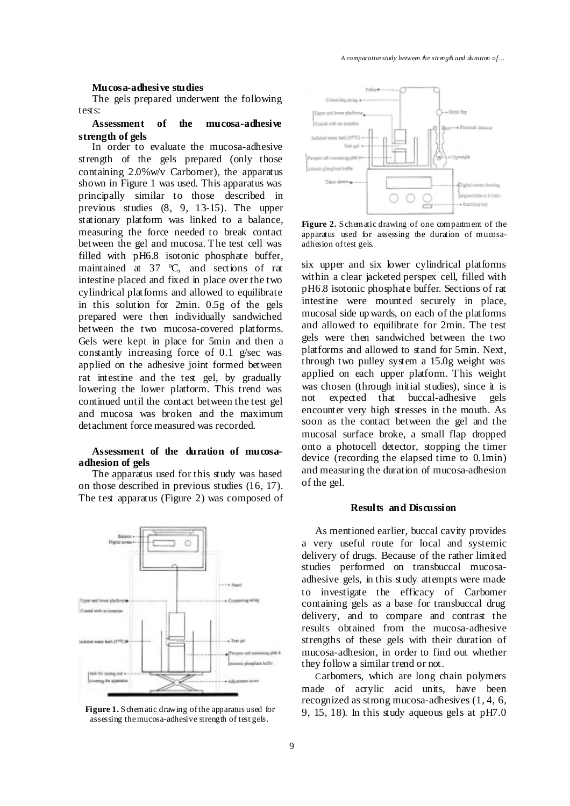#### **Mucosa-adhesive studies**

The gels prepared underwent the following tests:

# **Assessment of the mucosa-adhesive strength of gels**

In order to evaluate the mucosa-adhesive strength of the gels prepared (only those containing 2.0%w/v Carbomer), the apparatus shown in Figure 1 was used. This apparatus was principally similar to those described in previous studies (8, 9, 13-15). The upper stationary platform was linked to a balance, measuring the force needed to break contact between the gel and mucosa. The test cell was filled with pH6.8 isotonic phosphate buffer, maintained at 37 ºC, and sections of rat intestine placed and fixed in place over the two cylindrical platforms and allowed to equilibrate in this solution for 2min. 0.5g of the gels prepared were then individually sandwiched between the two mucosa-covered platforms. Gels were kept in place for 5min and then a constantly increasing force of 0.1 g/sec was applied on the adhesive joint formed between rat intestine and the test gel, by gradually lowering the lower platform. This trend was continued until the contact between the test gel and mucosa was broken and the maximum detachment force measured was recorded.

#### **Assessment of the duration of mucosaadhesion of gels**

The apparatus used for this study was based on those described in previous studies (16, 17). The test apparatus (Figure 2) was composed of



assessing the mucosa-adhesive strength of test gels.



Figure 2. Schematic drawing of one compartment of the apparatus used for assessing the duration of mucosaadhesion of test gels.

six upper and six lower cylindrical platforms within a clear jacketed perspex cell, filled with pH6.8 isotonic phosphate buffer. Sections of rat intestine were mounted securely in place, mucosal side up wards, on each of the platforms and allowed to equilibrate for 2min. The test gels were then sandwiched between the two platforms and allowed to stand for 5min. Next, through two pulley system a 15.0g weight was applied on each upper platform. This weight was chosen (through initial studies), since it is not expected that buccal-adhesive gels encounter very high stresses in the mouth. As soon as the contact between the gel and the mucosal surface broke, a small flap dropped onto a photocell detector, stopping the timer device (recording the elapsed time to 0.1min) and measuring the duration of mucosa-adhesion of the gel.

#### **Results and Discussion**

As mentioned earlier, buccal cavity provides a very useful route for local and systemic delivery of drugs. Because of the rather limited studies performed on transbuccal mucosaadhesive gels, in this study attempts were made to investigate the efficacy of Carbomer containing gels as a base for transbuccal drug delivery, and to compare and contrast the results obtained from the mucosa-adhesive strengths of these gels with their duration of mucosa-adhesion, in order to find out whether they follow a similar trend or not.

Carbomers, which are long chain polymers made of acrylic acid units, have been recognized as strong mucosa-adhesives (1, 4, 6, Figure 1. Schematic drawing of the apparatus used for 9, 15, 18). In this study aqueous gels at pH7.0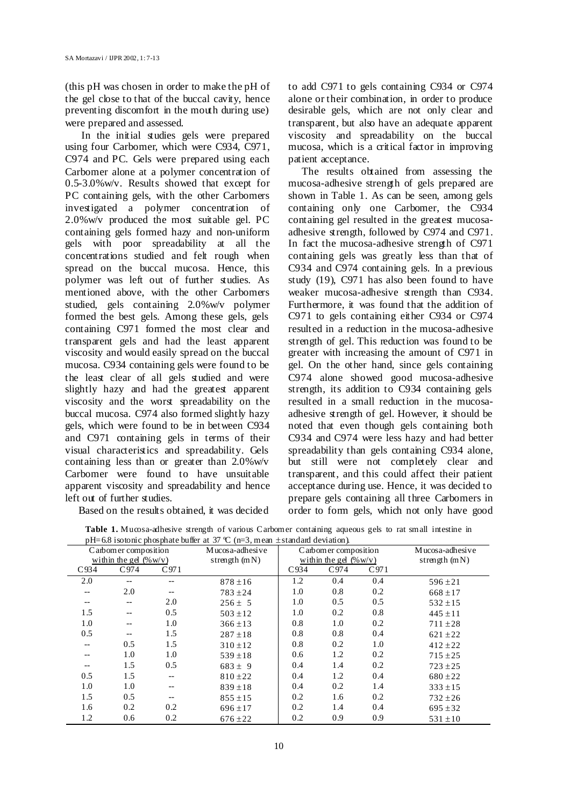(this pH was chosen in order to make the pH of the gel close to that of the buccal cavity, hence preventing discomfort in the mouth during use) were prepared and assessed.

 In the initial studies gels were prepared using four Carbomer, which were C934, C971, C974 and PC. Gels were prepared using each Carbomer alone at a polymer concentration of 0.5-3.0%w/v. Results showed that except for PC containing gels, with the other Carbomers investigated a polymer concentration of 2.0%w/v produced the most suitable gel. PC containing gels formed hazy and non-uniform gels with poor spreadability at all the concentrations studied and felt rough when spread on the buccal mucosa. Hence, this polymer was left out of further studies. As mentioned above, with the other Carbomers studied, gels containing 2.0%w/v polymer formed the best gels. Among these gels, gels containing C971 formed the most clear and transparent gels and had the least apparent viscosity and would easily spread on the buccal mucosa. C934 containing gels were found to be the least clear of all gels studied and were slightly hazy and had the greatest apparent viscosity and the worst spreadability on the buccal mucosa. C974 also formed slightly hazy gels, which were found to be in between C934 and C971 containing gels in terms of their visual characteristics and spreadability. Gels containing less than or greater than 2.0%w/v Carbomer were found to have unsuitable apparent viscosity and spreadability and hence left out of further studies.

Based on the results obtained, it was decided

to add C971 to gels containing C934 or C974 alone or their combination, in order to produce desirable gels, which are not only clear and transparent, but also have an adequate apparent viscosity and spreadability on the buccal mucosa, which is a critical factor in improving patient acceptance.

The results obtained from assessing the mucosa-adhesive strength of gels prepared are shown in Table 1. As can be seen, among gels containing only one Carbomer, the C934 containing gel resulted in the greatest mucosaadhesive strength, followed by C974 and C971. In fact the mucosa-adhesive strength of C971 containing gels was greatly less than that of C934 and C974 containing gels. In a previous study (19), C971 has also been found to have weaker mucosa-adhesive strength than C934. Furthermore, it was found that the addition of C971 to gels containing either C934 or C974 resulted in a reduction in the mucosa-adhesive strength of gel. This reduction was found to be greater with increasing the amount of C971 in gel. On the other hand, since gels containing C974 alone showed good mucosa-adhesive strength, its addition to C934 containing gels resulted in a small reduction in the mucosaadhesive strength of gel. However, it should be noted that even though gels containing both C934 and C974 were less hazy and had better spreadability than gels containing C934 alone, but still were not completely clear and transparent, and this could affect their patient acceptance during use. Hence, it was decided to prepare gels containing all three Carbomers in order to form gels, which not only have good

| $p_{11}$ 0.0 isolonic phosphate banci at $p_{11} \in \{11, 0, 0\}$ , in car $\pm$ standard deviation $\mu$<br>Carbomer composition<br>within the gel $(\% w/v)$ |      |                          | Mucosa-adhesive<br>strength $(mN)$ | Carbomer composition<br>within the gel $(\% w/v)$ |      |      | Mucosa-adhesive<br>strength $(mN)$ |
|-----------------------------------------------------------------------------------------------------------------------------------------------------------------|------|--------------------------|------------------------------------|---------------------------------------------------|------|------|------------------------------------|
| C934                                                                                                                                                            | C974 | C971                     |                                    | C934                                              | C974 | C971 |                                    |
| 2.0                                                                                                                                                             |      |                          | $878 \pm 16$                       | 1.2                                               | 0.4  | 0.4  | $596 \pm 21$                       |
|                                                                                                                                                                 | 2.0  | $\overline{\phantom{m}}$ | $783 + 24$                         | 1.0                                               | 0.8  | 0.2  | $668 \pm 17$                       |
| $- -$                                                                                                                                                           | $-$  | 2.0                      | $256 \pm 5$                        | 1.0                                               | 0.5  | 0.5  | $532 \pm 15$                       |
| 1.5                                                                                                                                                             | $-$  | 0.5                      | $503 \pm 12$                       | 1.0                                               | 0.2  | 0.8  | $445 \pm 11$                       |
| 1.0                                                                                                                                                             | --   | 1.0                      | $366 \pm 13$                       | 0.8                                               | 1.0  | 0.2  | $711 \pm 28$                       |
| 0.5                                                                                                                                                             |      | 1.5                      | $287 \pm 18$                       | 0.8                                               | 0.8  | 0.4  | $621 \pm 22$                       |
| --                                                                                                                                                              | 0.5  | 1.5                      | $310 \pm 12$                       | 0.8                                               | 0.2  | 1.0  | $412 \pm 22$                       |
|                                                                                                                                                                 | 1.0  | 1.0                      | $539 \pm 18$                       | 0.6                                               | 1.2  | 0.2  | $715 \pm 25$                       |
| --                                                                                                                                                              | 1.5  | 0.5                      | $683 \pm 9$                        | 0.4                                               | 1.4  | 0.2  | $723 \pm 25$                       |
| 0.5                                                                                                                                                             | 1.5  | $- -$                    | $810 \pm 22$                       | 0.4                                               | 1.2  | 0.4  | $680 \pm 22$                       |
| 1.0                                                                                                                                                             | 1.0  | --                       | $839 \pm 18$                       | 0.4                                               | 0.2  | 1.4  | $333 \pm 15$                       |
| 1.5                                                                                                                                                             | 0.5  | $\qquad \qquad -$        | $855 \pm 15$                       | 0.2                                               | 1.6  | 0.2  | $732 \pm 26$                       |
| 1.6                                                                                                                                                             | 0.2  | 0.2                      | $696 \pm 17$                       | 0.2                                               | 1.4  | 0.4  | $695 \pm 32$                       |
| 1.2                                                                                                                                                             | 0.6  | 0.2                      | $676 \pm 22$                       | 0.2                                               | 0.9  | 0.9  | $531 \pm 10$                       |

| Table 1. Mucosa-adhesive strength of various Carbomer containing aqueous gels to rat small intestine in |  |  |  |
|---------------------------------------------------------------------------------------------------------|--|--|--|
| pH=6.8 isotonic phosphate buffer at 37 °C (n=3, mean $\pm$ standard deviation).                         |  |  |  |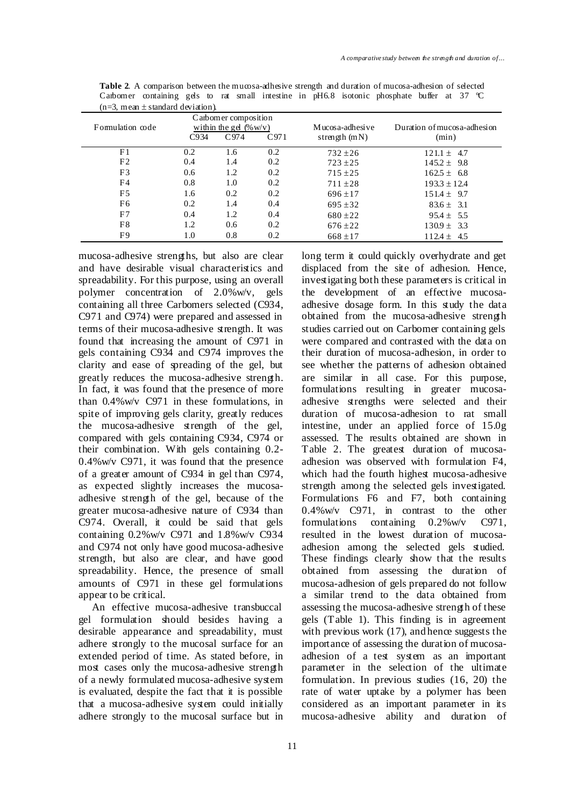| Formulation code | C arbomer composition<br>within the gel $(\% w/v)$ |              |     | Mucosa-adhesive | Duration of mucosa-adhesion |  |
|------------------|----------------------------------------------------|--------------|-----|-----------------|-----------------------------|--|
|                  | C934                                               | C974<br>C971 |     | strength $(mN)$ | (min)                       |  |
| F <sub>1</sub>   | 0.2                                                | 1.6          | 0.2 | $732 \pm 26$    | $121.1 \pm 4.7$             |  |
| F <sub>2</sub>   | 0.4                                                | 1.4          | 0.2 | $723 + 25$      | $145.2 \pm 9.8$             |  |
| F3               | 0.6                                                | 1.2          | 0.2 | $715 \pm 25$    | $162.5 \pm 6.8$             |  |
| F4               | 0.8                                                | 1.0          | 0.2 | $711 \pm 28$    | $193.3 \pm 12.4$            |  |
| F <sub>5</sub>   | 1.6                                                | 0.2          | 0.2 | $696 \pm 17$    | $151.4 \pm 9.7$             |  |
| F6               | 0.2                                                | 1.4          | 0.4 | $695 \pm 32$    | $83.6 \pm 3.1$              |  |
| F7               | 0.4                                                | 1.2          | 0.4 | $680 \pm 22$    | $95.4 \pm 5.5$              |  |
| F8               | 1.2                                                | 0.6          | 0.2 | $676 \pm 22$    | $130.9 \pm 3.3$             |  |
| F9               | 1.0                                                | 0.8          | 0.2 | $668 \pm 17$    | $112.4 \pm 4.5$             |  |

**Table 2.** A comparison between the mucosa-adhesive strength and duration of mucosa-adhesion of selected Carbomer containing gels to rat small intestine in pH6.8 isotonic phosphate buffer at 37  $\degree$ C  $(n=3, \text{ mean } \pm \text{ standard deviation}).$ 

mucosa-adhesive strengths, but also are clear and have desirable visual characteristics and spreadability. For this purpose, using an overall polymer concentration of 2.0%w/v, gels containing all three Carbomers selected (C934, C971 and C974) were prepared and assessed in terms of their mucosa-adhesive strength. It was found that increasing the amount of C971 in gels containing C934 and C974 improves the clarity and ease of spreading of the gel, but greatly reduces the mucosa-adhesive strength. In fact, it was found that the presence of more than 0.4%w/v C971 in these formulations, in spite of improving gels clarity, greatly reduces the mucosa-adhesive strength of the gel, compared with gels containing C934, C974 or their combination. With gels containing 0.2- 0.4%w/v C971, it was found that the presence of a greater amount of C934 in gel than C974, as expected slightly increases the mucosaadhesive strength of the gel, because of the greater mucosa-adhesive nature of C934 than C974. Overall, it could be said that gels containing 0.2%w/v C971 and 1.8%w/v C934 and C974 not only have good mucosa-adhesive strength, but also are clear, and have good spreadability. Hence, the presence of small amounts of C971 in these gel formulations appear to be critical.

An effective mucosa-adhesive transbuccal gel formulation should besides having a desirable appearance and spreadability, must adhere strongly to the mucosal surface for an extended period of time. As stated before, in most cases only the mucosa-adhesive strength of a newly formulated mucosa-adhesive system is evaluated, despite the fact that it is possible that a mucosa-adhesive system could initially adhere strongly to the mucosal surface but in

long term it could quickly overhydrate and get displaced from the site of adhesion. Hence, investigating both these parameters is critical in the development of an effective mucosaadhesive dosage form. In this study the data obtained from the mucosa-adhesive strength studies carried out on Carbomer containing gels were compared and contrasted with the data on their duration of mucosa-adhesion, in order to see whether the patterns of adhesion obtained are similar in all case. For this purpose, formulations resulting in greater mucosaadhesive strengths were selected and their duration of mucosa-adhesion to rat small intestine, under an applied force of 15.0g assessed. The results obtained are shown in Table 2. The greatest duration of mucosaadhesion was observed with formulation F4, which had the fourth highest mucosa-adhesive strength among the selected gels investigated. Formulations F6 and F7, both containing 0.4%w/v C971, in contrast to the other formulations containing 0.2%w/v C971, resulted in the lowest duration of mucosaadhesion among the selected gels studied. These findings clearly show that the results obtained from assessing the duration of mucosa-adhesion of gels prepared do not follow a similar trend to the data obtained from assessing the mucosa-adhesive strength of these gels (Table 1). This finding is in agreement with previous work (17), and hence suggests the importance of assessing the duration of mucosaadhesion of a test system as an important parameter in the selection of the ultimate formulation. In previous studies (16, 20) the rate of water uptake by a polymer has been considered as an important parameter in its mucosa-adhesive ability and duration of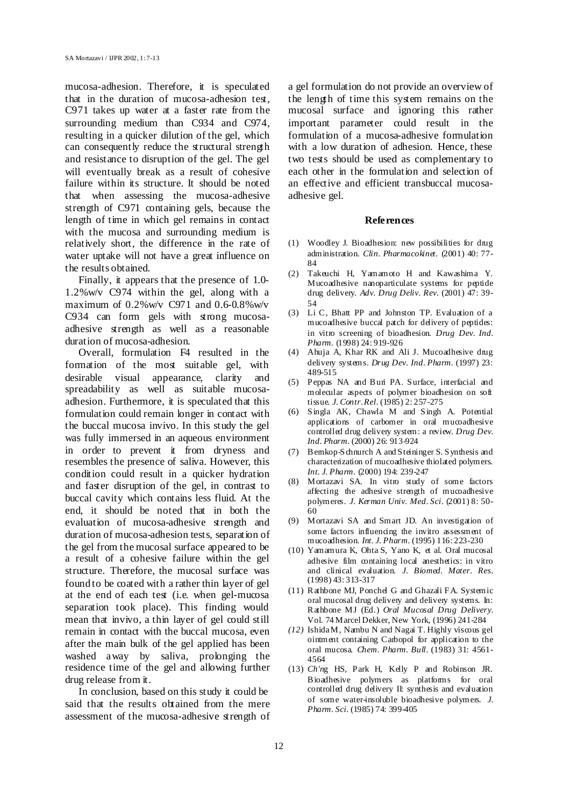mucosa-adhesion. Therefore, it is speculated that in the duration of mucosa-adhesion test, C971 takes up water at a faster rate from the surrounding medium than C934 and C974, resulting in a quicker dilution of the gel, which can consequently reduce the structural strength and resistance to disruption of the gel. The gel will eventually break as a result of cohesive failure within its structure. It should be noted that when assessing the mucosa-adhesive strength of C971 containing gels, because the length of time in which gel remains in contact with the mucosa and surrounding medium is relatively short, the difference in the rate of water uptake will not have a great influence on the results obtained.

Finally, it appears that the presence of 1.0- 1.2%w/v C974 within the gel, along with a maximum of 0.2%w/v C971 and 0.6-0.8%w/v C934 can form gels with strong mucosaadhesive strength as well as a reasonable duration of mucosa-adhesion.

Overall, formulation F4 resulted in the formation of the most suitable gel, with desirable visual appearance, clarity and spreadability as well as suitable mucosaadhesion. Furthermore, it is speculated that this formulation could remain longer in contact with the buccal mucosa invivo. In this study the gel was fully immersed in an aqueous environment in order to prevent it from dryness and resembles the presence of saliva. However, this condition could result in a quicker hydration and faster disruption of the gel, in contrast to buccal cavity which contains less fluid. At the end, it should be noted that in both the evaluation of mucosa-adhesive strength and duration of mucosa-adhesion tests, separation of the gel from the mucosal surface appeared to be a result of a cohesive failure within the gel structure. Therefore, the mucosal surface was found to be coated with a rather thin layer of gel at the end of each test (i.e. when gel-mucosa separation took place). This finding would mean that invivo, a thin layer of gel could still remain in contact with the buccal mucosa, even after the main bulk of the gel applied has been washed away by saliva, prolonging the residence time of the gel and allowing further drug release from it.

In conclusion, based on this study it could be said that the results obtained from the mere assessment of the mucosa-adhesive strength of a gel formulation do not provide an overview of the length of time this system remains on the mucosal surface and ignoring this rather important parameter could result in the formulation of a mucosa-adhesive formulation with a low duration of adhesion. Hence, these two tests should be used as complementary to each other in the formulation and selection of an effective and efficient transbuccal mucosaadhesive gel.

#### **References**

- (1) Woodley J. Bioadhesion: new possibilities for drug administration. *Clin. Pharmacokinet.* (2001) 40: 77- 84
- (2) Takeuchi H, Yamamoto H and Kawashima Y. Mucoadhesive nanoparticulate systems for peptide drug delivery. *Adv. Drug Deliv. Rev.* (2001) 47: 39- 54
- (3) Li C, Bhatt PP and Johnston TP. Evaluation of a mucoadhesive buccal patch for delivery of peptides: in vitro screening of bioadhesion. *Drug Dev. Ind. Pharm.* (1998) 24: 919-926
- (4) Ahuja A, Khar RK and Ali J. Mucoadhesive drug delivery systems*. Drug Dev. Ind. Pharm.* (1997) 23: 489-515
- (5) Peppas NA and Buri PA. Surface, interfacial and molecular aspects of polymer bioadhesion on soft tissue. *J. Contr. Rel.* (1985) 2: 257-275
- (6) Singla AK, Chawla M and Singh A. Potential applications of carbomer in oral mucoadhesive controlled drug delivery system: a review. *Drug Dev. Ind. Pharm.* (2000) 26: 913-924
- (7) Bernkop-Schnurch A and Steininger S. Synthesis and characterization of mucoadhesive thiolated polymers. *Int. J. Pharm.* (2000) 194: 239-247
- (8) Mortazavi SA. In vitro study of some factors affecting the adhesive strength of mucoadhesive polymeres. *J. Kerman Univ. Med. Sci.* (2001) 8: 50- 60
- (9) Mortazavi SA and Smart JD. An investigation of some factors influencing the invitro assessment of mucoadhesion. *Int. J. Pharm.* (1995) 116: 223-230
- (10) Yamamura K, Ohta S, Yano K, et al. Oral mucosal adhesive film containing local anesthetics: in vitro and clinical evaluation. *J. Biomed. Mater. Res.* (1998) 43: 313-317
- (11) Rathbone MJ, Ponchel G and Ghazali FA. Systemic oral mucosal drug delivery and delivery systems. In: Rathbone MJ (Ed.) *Oral Mucosal Drug Delivery.* Vol. 74 Marcel Dekker, New York, (1996) 241-284
- *(12)* Ishida M, Nambu N and Nagai T. Highly viscous gel ointment containing Carbopol for application to the oral mucosa. *Chem. Pharm. Bull.* (1983) 31: 4561- 4564
- (13) *Ch'n*g HS, Park H, Kelly P and Robinson JR. Bioadhesive polymers as platforms for oral controlled drug delivery II: synthesis and evaluation of some water-insoluble bioadhesive polymers. *J. Pharm. Sci.* (1985) 74: 399-405